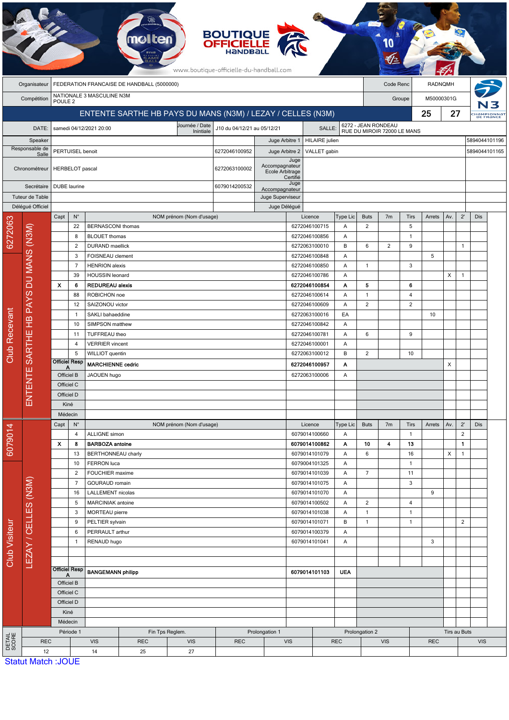|                         |                            |                                                             |                                                                               |                                             |            |                                 | <b>BOUTIQUE<br/>OFFICIELLE</b><br>www.boutique-officielle-du-handball.com                   |                                                 |                                          |                                |                             |                              |                |                              |              |     |                     |                         |  |  |  |
|-------------------------|----------------------------|-------------------------------------------------------------|-------------------------------------------------------------------------------|---------------------------------------------|------------|---------------------------------|---------------------------------------------------------------------------------------------|-------------------------------------------------|------------------------------------------|--------------------------------|-----------------------------|------------------------------|----------------|------------------------------|--------------|-----|---------------------|-------------------------|--|--|--|
|                         | Organisateur               | FEDERATION FRANCAISE DE HANDBALL (5000000)                  |                                                                               |                                             |            |                                 |                                                                                             |                                                 |                                          |                                | Code Renc<br><b>RADNQMH</b> |                              |                |                              |              |     |                     |                         |  |  |  |
|                         | Compétition                | NATIONALE 3 MASCULINE N3M<br>POULE <sub>2</sub>             |                                                                               |                                             |            |                                 |                                                                                             |                                                 |                                          |                                |                             | M50000301G<br>Groupe         |                |                              |              |     |                     |                         |  |  |  |
|                         |                            | ENTENTE SARTHE HB PAYS DU MANS (N3M) / LEZAY / CELLES (N3M) |                                                                               |                                             |            |                                 |                                                                                             |                                                 |                                          |                                |                             |                              |                |                              | 25           | 27  |                     | HAMPIONNAT<br>DE FRANCE |  |  |  |
| DATE:                   |                            |                                                             |                                                                               | samedi 04/12/2021 20:00                     |            | Journée / Date<br>Inintiale     | 6272 - JEAN RONDEAU<br>RUE DU MIROIR 72000 LE MANS<br>J10 du 04/12/21 au 05/12/21<br>SALLE: |                                                 |                                          |                                |                             |                              |                |                              |              |     |                     |                         |  |  |  |
| Speaker                 |                            |                                                             |                                                                               |                                             |            |                                 |                                                                                             | <b>HILAIRE</b> julien<br>Juge Arbitre 1         |                                          |                                |                             |                              |                |                              |              |     |                     | 5894044101196           |  |  |  |
| Responsable de<br>Salle |                            |                                                             | PERTUISEL benoit                                                              |                                             |            | 6272046100952<br>Juge Arbitre 2 |                                                                                             |                                                 |                                          | 5894044101165<br>VALLET gabin  |                             |                              |                |                              |              |     |                     |                         |  |  |  |
| Chronométreur           |                            |                                                             | HERBELOT pascal                                                               |                                             |            |                                 | 6272063100002                                                                               | Accompagnateur<br>Ecole Arbitrage               | Juge<br>Certifié                         |                                |                             |                              |                |                              |              |     |                     |                         |  |  |  |
|                         | Secrétaire                 |                                                             | <b>DUBE</b> laurine                                                           |                                             |            |                                 | 6079014200532                                                                               | Accompagnateur                                  | Juge                                     |                                |                             |                              |                |                              |              |     |                     |                         |  |  |  |
|                         | Tuteur de Table            |                                                             |                                                                               |                                             |            |                                 |                                                                                             | Juge Superviseur                                |                                          |                                |                             |                              |                |                              |              |     |                     |                         |  |  |  |
|                         | Délégué Officiel           | Capt                                                        | $N^{\circ}$                                                                   |                                             |            | NOM prénom (Nom d'usage)        |                                                                                             | Juge Délégué                                    |                                          | Licence                        | Type Lic                    | <b>Buts</b>                  | 7 <sub>m</sub> | Tirs                         | Arrets       | Av. | $2^{\prime}$        | Dis                     |  |  |  |
| 6272063                 |                            |                                                             | 22                                                                            | <b>BERNASCONI</b> thomas                    |            |                                 |                                                                                             |                                                 |                                          | 6272046100715                  | Α                           | 2                            |                | 5                            |              |     |                     |                         |  |  |  |
|                         | DU MANS (N3M)              |                                                             | 8                                                                             | <b>BLOUET</b> thomas                        |            |                                 |                                                                                             |                                                 |                                          | 6272046100856                  | Α                           |                              |                | $\mathbf{1}$                 |              |     |                     |                         |  |  |  |
|                         |                            |                                                             | 2                                                                             | <b>DURAND</b> maellick                      |            |                                 |                                                                                             |                                                 |                                          | 6272063100010                  | B                           | 6                            | $\overline{2}$ | 9                            |              |     | $\mathbf{1}$        |                         |  |  |  |
|                         |                            |                                                             | 3                                                                             | FOISNEAU clement                            |            |                                 |                                                                                             |                                                 |                                          | 6272046100848                  | Α                           |                              |                |                              | 5            |     |                     |                         |  |  |  |
|                         |                            |                                                             | $\overline{7}$                                                                | <b>HENRION</b> alexis                       |            |                                 |                                                                                             |                                                 | 6272046100850<br>Α<br>6272046100786<br>Α |                                |                             | $\mathbf{1}$                 |                | 3                            |              | X   | $\mathbf{1}$        |                         |  |  |  |
|                         |                            | $\boldsymbol{\mathsf{x}}$                                   | 39<br><b>HOUSSIN</b> leonard<br><b>REDUREAU alexis</b><br>6                   |                                             |            |                                 |                                                                                             |                                                 |                                          | 6272046100854                  | Α                           | 5                            |                | 6                            |              |     |                     |                         |  |  |  |
|                         |                            |                                                             | 88                                                                            | ROBICHON noe                                |            |                                 |                                                                                             |                                                 |                                          | 6272046100614                  | Α                           | $\mathbf{1}$                 |                | $\overline{4}$               |              |     |                     |                         |  |  |  |
|                         |                            |                                                             | SAIZONOU victor<br>12                                                         |                                             |            |                                 |                                                                                             |                                                 | 6272046100609                            | Α                              | $\overline{c}$              |                              | $\overline{2}$ |                              |              |     |                     |                         |  |  |  |
|                         |                            |                                                             | $\mathbf{1}$                                                                  | SAKLI bahaeddine                            |            |                                 |                                                                                             |                                                 |                                          | 6272063100016                  | EA                          |                              |                |                              | 10           |     |                     |                         |  |  |  |
|                         | SARTHE HB PAYS             |                                                             | 10                                                                            | SIMPSON matthew                             |            |                                 |                                                                                             |                                                 |                                          | 6272046100842                  | Α                           |                              |                |                              |              |     |                     |                         |  |  |  |
| Club Recevant           |                            |                                                             | 11                                                                            | TUFFREAU theo                               |            |                                 |                                                                                             |                                                 |                                          | 6272046100781                  | Α                           | 6                            |                | 9                            |              |     |                     |                         |  |  |  |
|                         |                            |                                                             | $\overline{4}$                                                                | <b>VERRIER</b> vincent                      |            |                                 |                                                                                             |                                                 |                                          | 6272046100001                  | Α                           | $\overline{2}$               |                |                              |              |     |                     |                         |  |  |  |
|                         |                            |                                                             | 5<br><b>Officiel Resp</b>                                                     | WILLIOT quentin<br><b>MARCHIENNE cedric</b> |            |                                 |                                                                                             |                                                 |                                          | 6272063100012<br>6272046100957 | B                           |                              |                | 10                           |              | х   |                     |                         |  |  |  |
|                         | ш                          | Α<br>Officiel B                                             |                                                                               | JAOUEN hugo                                 |            |                                 |                                                                                             |                                                 | 6272063100006                            | Α<br>Α                         |                             |                              |                |                              |              |     |                     |                         |  |  |  |
|                         | Ę                          | Officiel C                                                  |                                                                               |                                             |            |                                 |                                                                                             |                                                 |                                          |                                |                             |                              |                |                              |              |     |                     |                         |  |  |  |
|                         | ENTEI                      | Officiel D                                                  |                                                                               |                                             |            |                                 |                                                                                             |                                                 |                                          |                                |                             |                              |                |                              |              |     |                     |                         |  |  |  |
|                         |                            | Kiné                                                        |                                                                               |                                             |            |                                 |                                                                                             |                                                 |                                          |                                |                             |                              |                |                              |              |     |                     |                         |  |  |  |
|                         |                            | Médecin                                                     |                                                                               |                                             |            |                                 |                                                                                             |                                                 |                                          |                                |                             |                              |                |                              |              |     |                     |                         |  |  |  |
|                         |                            | Capt                                                        | $N^{\circ}$                                                                   |                                             |            | NOM prénom (Nom d'usage)        |                                                                                             |                                                 |                                          | Licence                        | Type Lic                    | <b>Buts</b>                  | 7 <sub>m</sub> | Tirs                         | Arrets       | Av. | $2^{\prime}$        | Dis                     |  |  |  |
| 6079014                 |                            | X                                                           | 4                                                                             | ALLIGNE simon<br><b>BARBOZA</b> antoine     |            |                                 |                                                                                             |                                                 |                                          | 6079014100660<br>6079014100862 | Α                           | 10                           |                | $\mathbf{1}$                 |              |     | $\overline{2}$<br>1 |                         |  |  |  |
|                         |                            |                                                             | 8<br>13                                                                       | <b>BERTHONNEAU charly</b>                   |            |                                 |                                                                                             |                                                 |                                          | 6079014101079                  | Α<br>A                      | 6                            | 4              | 13<br>16                     |              | X   | 1                   |                         |  |  |  |
|                         |                            |                                                             | 10                                                                            | FERRON luca                                 |            |                                 |                                                                                             |                                                 |                                          | 6079004101325                  | Α                           |                              |                | $\mathbf{1}$                 |              |     |                     |                         |  |  |  |
|                         |                            |                                                             | $\overline{2}$                                                                | FOUCHIER maxime                             |            |                                 |                                                                                             |                                                 |                                          | 6079014101039                  | Α                           | $\overline{7}$               |                | 11                           |              |     |                     |                         |  |  |  |
|                         |                            |                                                             | $\overline{7}$                                                                | <b>GOURAUD</b> romain                       |            |                                 |                                                                                             |                                                 |                                          | 6079014101075                  | Α                           |                              |                | 3                            |              |     |                     |                         |  |  |  |
|                         |                            |                                                             | 16                                                                            | LALLEMENT nicolas                           |            |                                 |                                                                                             |                                                 | 6079014101070                            | Α                              |                             |                              |                | 9                            |              |     |                     |                         |  |  |  |
|                         |                            |                                                             | 5<br><b>MARCINIAK</b> antoine                                                 |                                             |            |                                 |                                                                                             | 6079014100502<br>6079014101038<br>6079014101071 |                                          |                                | Α                           | $\overline{2}$               |                | 4                            |              |     |                     |                         |  |  |  |
|                         |                            |                                                             | 3<br>MORTEAU pierre                                                           |                                             |            |                                 |                                                                                             |                                                 |                                          |                                | Α<br>B                      | $\mathbf{1}$<br>$\mathbf{1}$ |                | $\mathbf{1}$<br>$\mathbf{1}$ |              |     | $\overline{2}$      |                         |  |  |  |
|                         |                            |                                                             | 9<br>PELTIER sylvain<br>PERRAULT arthur<br>6<br>RENAUD hugo<br>$\overline{1}$ |                                             |            |                                 |                                                                                             | 6079014100379<br>6079014101041                  |                                          | Α                              |                             |                              |                |                              |              |     |                     |                         |  |  |  |
| <b>Club Visiteur</b>    | LEZAY / CELLES (N3M)       |                                                             |                                                                               |                                             |            |                                 |                                                                                             |                                                 |                                          | Α                              |                             |                              |                | 3                            |              |     |                     |                         |  |  |  |
|                         |                            |                                                             |                                                                               |                                             |            |                                 |                                                                                             |                                                 |                                          |                                |                             |                              |                |                              |              |     |                     |                         |  |  |  |
|                         |                            |                                                             |                                                                               |                                             |            |                                 |                                                                                             |                                                 |                                          |                                |                             |                              |                |                              |              |     |                     |                         |  |  |  |
|                         |                            |                                                             | <b>Officiel Resp</b><br>A                                                     | <b>BANGEMANN philipp</b>                    |            |                                 |                                                                                             |                                                 |                                          | <b>UEA</b><br>6079014101103    |                             |                              |                |                              |              |     |                     |                         |  |  |  |
|                         |                            |                                                             | Officiel B<br>Officiel C                                                      |                                             |            |                                 |                                                                                             |                                                 |                                          |                                |                             |                              |                |                              |              |     |                     |                         |  |  |  |
|                         |                            |                                                             | Officiel D                                                                    |                                             |            |                                 |                                                                                             |                                                 |                                          |                                |                             |                              |                |                              |              |     |                     |                         |  |  |  |
|                         |                            |                                                             | Kiné                                                                          |                                             |            |                                 |                                                                                             |                                                 |                                          |                                |                             |                              |                |                              |              |     |                     |                         |  |  |  |
|                         |                            |                                                             | Médecin                                                                       |                                             |            |                                 |                                                                                             |                                                 |                                          |                                |                             |                              |                |                              |              |     |                     |                         |  |  |  |
|                         |                            | Période 1                                                   |                                                                               |                                             |            | Fin Tps Reglem.                 |                                                                                             | Prolongation 1                                  |                                          |                                |                             | Prolongation 2               |                |                              | Tirs au Buts |     |                     |                         |  |  |  |
| DETAIL<br>SCORE         | <b>REC</b>                 |                                                             |                                                                               | <b>VIS</b>                                  | <b>REC</b> | <b>VIS</b>                      | <b>REC</b>                                                                                  |                                                 | <b>VIS</b>                               |                                | <b>REC</b>                  |                              | <b>VIS</b>     |                              | <b>REC</b>   |     |                     | <b>VIS</b>              |  |  |  |
|                         | 12<br>Statut Match : IOLIE |                                                             |                                                                               | 14                                          | 25         | 27                              |                                                                                             |                                                 |                                          |                                |                             |                              |                |                              |              |     |                     |                         |  |  |  |

tut Match :JOUE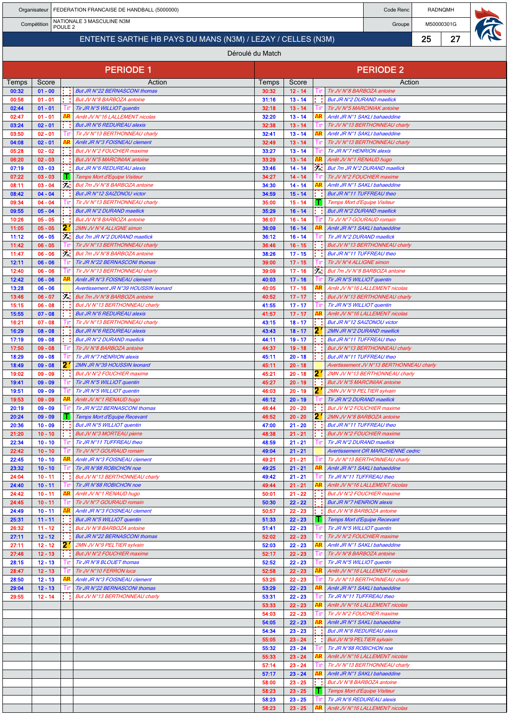|                                                                |                        |       | Organisateur   FEDERATION FRANCAISE DE HANDBALL (5000000)              |                |                        |      |                                                                            | Code Renc |                      | <b>RADNQMH</b> |  |
|----------------------------------------------------------------|------------------------|-------|------------------------------------------------------------------------|----------------|------------------------|------|----------------------------------------------------------------------------|-----------|----------------------|----------------|--|
| NATIONALE 3 MASCULINE N3M<br>Compétition<br>POULE <sub>2</sub> |                        |       |                                                                        |                |                        |      |                                                                            |           | M50000301G<br>Groupe |                |  |
| ENTENTE SARTHE HB PAYS DU MANS (N3M) / LEZAY / CELLES (N3M)    |                        |       |                                                                        |                |                        |      |                                                                            |           | 25                   | 27             |  |
| Déroulé du Match                                               |                        |       |                                                                        |                |                        |      |                                                                            |           |                      |                |  |
|                                                                |                        |       |                                                                        |                |                        |      |                                                                            |           |                      |                |  |
|                                                                |                        |       | <b>PERIODE 1</b>                                                       |                |                        |      | <b>PERIODE 2</b>                                                           |           |                      |                |  |
| Temps                                                          | Score                  |       | Action                                                                 | Temps          | Score                  |      |                                                                            | Action    |                      |                |  |
| 00:32                                                          | $01 - 00$              |       | But JR N°22 BERNASCONI thomas                                          | 30:32          | $12 - 14$              | lır. | Tir JV N°8 BARBOZA antoine                                                 |           |                      |                |  |
| 00:56<br>02:44                                                 | $01 - 01$<br>$01 - 01$ |       | But JV N°8 BARBOZA antoine<br>Tir JR N°5 WILLIOT quentin               | 31:16<br>32:18 | $13 - 14$<br>$13 - 14$ | Пr   | But JR N°2 DURAND maellick<br>Tir JV N°5 MARCINIAK antoine                 |           |                      |                |  |
| 02:47                                                          | $01 - 01$              |       | Arrêt JV N°16 LALLEMENT nicolas                                        | 32:20          | $13 - 14$              |      | Arrêt JR N°1 SAKLI bahaeddine                                              |           |                      |                |  |
| 03:24                                                          | $02 - 01$              |       | <b>But JR N°6 REDUREAU alexis</b>                                      | 32:38          | $13 - 14$              |      | Tir JV N°13 BERTHONNEAU charly                                             |           |                      |                |  |
| 03:50                                                          | $02 - 01$<br>$02 - 01$ |       | Tir JV N°13 BERTHONNEAU charly                                         | 32:41<br>32:49 | $13 - 14$<br>$13 - 14$ |      | Arrêt JR N°1 SAKLI bahaeddine<br>Tir JV N°13 BERTHONNEAU charly            |           |                      |                |  |
| 04:08<br>05:28                                                 | $02 - 02$              |       | Arrêt JR N°3 FOISNEAU clement<br>But JV N°2 FOUCHIER maxime            | 33:27          | $13 - 14$              |      | Tir JR N°7 HENRION alexis                                                  |           |                      |                |  |
| 06:20                                                          | $02 - 03$              |       | But JV N°5 MARCINIAK antoine                                           | 33:29          | $13 - 14$              |      | Arrêt JV N°1 RENAUD hugo                                                   |           |                      |                |  |
| 07:19                                                          | $03 - 03$              |       | <b>But JR N°6 REDUREAU alexis</b>                                      | 33:46          | $14 - 14$              | 54   | But 7m JR N°2 DURAND maellick                                              |           |                      |                |  |
| 07:22<br>08:11                                                 | $03 - 03$<br>$03 - 04$ | 54    | <b>Temps Mort d'Equipe Visiteur</b><br>But 7m JV N°8 BARBOZA antoine   | 34:27<br>34:30 | $14 - 14$<br>$14 - 14$ |      | Tir JV N°2 FOUCHIER maxime<br>Arrêt JR N°1 SAKLI bahaeddine                |           |                      |                |  |
| 08:42                                                          | $04 - 04$              |       | But JR N°12 SAIZONOU victor                                            | 34:59          | $15 - 14$              |      | But JR N°11 TUFFREAU theo                                                  |           |                      |                |  |
| 09:34                                                          | $04 - 04$              |       | Tir JV N°13 BERTHONNEAU charly                                         | 35:00          | $15 - 14$              |      | Temps Mort d'Equipe Visiteur                                               |           |                      |                |  |
| 09:55<br>10:26                                                 | $05 - 04$<br>$05 - 05$ |       | <b>But JR N°2 DURAND maellick</b><br>But JV N°8 BARBOZA antoine        | 35:29<br>36:07 | $16 - 14$<br>$16 - 14$ |      | <b>But JR N°2 DURAND maellick</b><br>Tir JV N°7 GOURAUD romain             |           |                      |                |  |
| 11:05                                                          | $05 - 05$              | 2.    | 2MN JV N°4 ALLIGNE simon                                               | 36:09          | $16 - 14$              |      | Arrêt JR N°1 SAKLI bahaeddine                                              |           |                      |                |  |
| 11:12                                                          | $06 - 05$              | 54    | But 7m JR N°2 DURAND maellick                                          | 36:12          | $16 - 14$              |      | Tir JR N°2 DURAND maellick                                                 |           |                      |                |  |
| 11:42                                                          | $06 - 05$              |       | Tir JV N°13 BERTHONNEAU charly                                         | 36:46          | $16 - 15$              |      | But JV N°13 BERTHONNEAU charly                                             |           |                      |                |  |
| 11:47<br>12:11                                                 | $06 - 06$<br>$06 - 06$ | м     | But 7m JV N°8 BARBOZA antoine<br>Tir JR N°22 BERNASCONI thomas         | 38:26<br>39:00 | $17 - 15$<br>$17 - 15$ |      | But JR N°11 TUFFREAU theo<br>Tir JV N°4 ALLIGNE simon                      |           |                      |                |  |
| 12:40                                                          | $06 - 06$              |       | Tir JV N°13 BERTHONNEAU charly                                         | 39:09          | $17 - 16$              | 54   | But 7m JV N°8 BARBOZA antoine                                              |           |                      |                |  |
| 12:42                                                          | $06 - 06$              |       | Arrêt JR N°3 FOISNEAU clement                                          | 40:03          | $17 - 16$              |      | Tir JR N°5 WILLIOT quentin                                                 |           |                      |                |  |
| 13:28<br>13:46                                                 | $06 - 06$<br>$06 - 07$ | 57.0  | Avertissement JR N°39 HOUSSIN leonard<br>But 7m JV N°8 BARBOZA antoine | 40:05<br>40:52 | $17 - 16$<br>$17 - 17$ |      | Arrêt JV N°16 LALLEMENT nicolas<br>But JV N°13 BERTHONNEAU charly          |           |                      |                |  |
| 15:15                                                          | $06 - 08$              |       | But JV N°13 BERTHONNEAU charly                                         | 41:55          | $17 - 17$              |      | Tir JR N°5 WILLIOT quentin                                                 |           |                      |                |  |
| 15:55                                                          | $07 - 08$              |       | <b>But JR N°6 REDUREAU alexis</b>                                      | 41:57          | $17 - 17$              |      | Arrêt JV N°16 LALLEMENT nicolas                                            |           |                      |                |  |
| 16:21                                                          | $07 - 08$              |       | Tir JV N°13 BERTHONNEAU charly                                         | 43:15          | $18 - 17$              |      | But JR N°12 SAIZONOU victor                                                |           |                      |                |  |
| 16:29<br>17:19                                                 | $08 - 08$<br>$09 - 08$ |       | <b>But JR N°6 REDUREAU alexis</b><br>But JR N°2 DURAND maellick        | 43:43<br>44:11 | $18 - 17$<br>$19 - 17$ | 21   | 2MN JR N°2 DURAND maellick<br>But JR N°11 TUFFREAU theo                    |           |                      |                |  |
| 17:50                                                          | $09 - 08$              | -111  | Tir JV N°8 BARBOZA antoine                                             | 44:37          | $19 - 18$              |      | But JV N°13 BERTHONNEAU charly                                             |           |                      |                |  |
| 18:29                                                          | $09 - 08$              |       | Tir JR N°7 HENRION alexis                                              | 45:11          | $20 - 18$              |      | But JR N°11 TUFFREAU theo                                                  |           |                      |                |  |
| 18:49<br>19:02                                                 | $09 - 08$<br>$09 - 09$ | 2     | 2MN JR N°39 HOUSSIN leonard<br><b>But JV N°2 FOUCHIER maxime</b>       | 45:11<br>45:21 | $20 - 18$<br>$20 - 18$ | 21   | Avertissement JV N°13 BERTHONNEAU charly<br>2MN JV N°13 BERTHONNEAU charly |           |                      |                |  |
| 19:41                                                          | $09 - 09$              | -l ir | Tir JR N°5 WILLIOT quentin                                             | 45:27          | $20 - 19$              |      | But JV N°5 MARCINIAK antoine                                               |           |                      |                |  |
| 19:51                                                          | $09 - 09$              |       | $\boxed{\text{Tr}}$ Tir JR N°5 WILLIOT quentin                         | 46:03          | $20 - 19$              |      | 2' 2MN JV N°9 PELTIER sylvain                                              |           |                      |                |  |
| 19:53                                                          | $09 - 09$              | AR    | Arrêt JV N°1 RENAUD hugo                                               | 46:12          | $20 - 19$              |      | Tir JR N°2 DURAND maellick                                                 |           |                      |                |  |
| 20:19<br>20:24                                                 | $09 - 09$<br>$09 - 09$ | w     | Tir JR N°22 BERNASCONI thomas<br>Temps Mort d'Equipe Recevant          | 46:44<br>46:52 | $20 - 20$<br>$20 - 20$ | 21   | But JV N°2 FOUCHIER maxime<br>2MN JV N°8 BARBOZA antoine                   |           |                      |                |  |
| 20:36                                                          | $10 - 09$              |       | But JR N°5 WILLIOT quentin                                             | 47:00          | $21 - 20$              |      | But JR N°11 TUFFREAU theo                                                  |           |                      |                |  |
| 21:20                                                          | $10 - 10$              |       | But JV N°3 MORTEAU pierre                                              | 48:38          | $21 - 21$              |      | But JV N°2 FOUCHIER maxime                                                 |           |                      |                |  |
| 22:34<br>22:42                                                 | $10 - 10$<br>$10 - 10$ |       | Tir JR N°11 TUFFREAU theo<br>Tir JV N°7 GOURAUD romain                 | 48:59<br>49:04 | $21 - 21$<br>$21 - 21$ |      | Tir JR N°2 DURAND maellick<br><b>Avertissement OR MARCHIENNE cedric</b>    |           |                      |                |  |
| 22:45                                                          | $10 - 10$              |       | Arrêt JR N°3 FOISNEAU clement                                          | 49:21          | $21 - 21$              |      | Tir JV N°13 BERTHONNEAU charly                                             |           |                      |                |  |
| 23:32                                                          | $10 - 10$              |       | Tir JR N°88 ROBICHON noe                                               | 49:25          | $21 - 21$              |      | Arrêt JR N°1 SAKLI bahaeddine                                              |           |                      |                |  |
| 24:04                                                          | $10 - 11$              |       | But JV N°13 BERTHONNEAU charly                                         | 49:42          | $21 - 21$              | Tю   | Tir JR N°11 TUFFREAU theo                                                  |           |                      |                |  |
| 24:40<br>24:42                                                 | $10 - 11$<br>$10 - 11$ | AR    | Tir JR N°88 ROBICHON noe<br>Arrêt JV N°1 RENAUD hugo                   | 49:44<br>50:01 | $21 - 21$<br>$21 - 22$ |      | Arrêt JV N°16 LALLEMENT nicolas<br>But JV N°2 FOUCHIER maxime              |           |                      |                |  |
| 24:45                                                          | $10 - 11$              |       | Tir JV N°7 GOURAUD romain                                              | 50:30          | $22 - 22$              |      | <b>But JR N°7 HENRION alexis</b>                                           |           |                      |                |  |
| 24:49                                                          | $10 - 11$              |       | Arrêt JR N°3 FOISNEAU clement                                          | 50:57          | $22 - 23$              |      | But JV N°8 BARBOZA antoine                                                 |           |                      |                |  |
| 25:31<br>26:32                                                 | $11 - 11$<br>$11 - 12$ |       | But JR N°5 WILLIOT quentin<br>But JV N°8 BARBOZA antoine               | 51:33<br>51:41 | $22 - 23$<br>$22 - 23$ |      | Temps Mort d'Equipe Recevant<br>Tir JR N°5 WILLIOT quentin                 |           |                      |                |  |
| 27:11                                                          | $12 - 12$              |       | But JR N°22 BERNASCONI thomas                                          | 52:02          | $22 - 23$              |      | Tir JV N°2 FOUCHIER maxime                                                 |           |                      |                |  |
| 27:11                                                          | $12 - 12$              | 21    | 2MN JV N°9 PELTIER sylvain                                             | 52:03          | $22 - 23$              |      | Arrêt JR N°1 SAKLI bahaeddine                                              |           |                      |                |  |
| 27:46                                                          | $12 - 13$              |       | <b>But JV N°2 FOUCHIER maxime</b>                                      | 52:17          | $22 - 23$              | Шr   | Tir JV N°8 BARBOZA antoine                                                 |           |                      |                |  |
| 28:15<br>28:47                                                 | $12 - 13$<br>$12 - 13$ |       | Tir JR N°8 BLOUET thomas<br>Tir JV N°10 FERRON luca                    | 52:52<br>52:58 | $22 - 23$<br>$22 - 23$ |      | Tir JR N°5 WILLIOT quentin<br>Arrêt JV N°16 LALLEMENT nicolas              |           |                      |                |  |
| 28:50                                                          | $12 - 13$              | AR    | Arrêt JR N°3 FOISNEAU clement                                          | 53:25          | $22 - 23$              | Шr   | Tir JV N°13 BERTHONNEAU charly                                             |           |                      |                |  |
| 29:04                                                          | $12 - 13$              |       | Tir JR N°22 BERNASCONI thomas                                          | 53:29          | $22 - 23$              |      | Arrêt JR N°1 SAKLI bahaeddine                                              |           |                      |                |  |
| 29:55                                                          | $12 - 14$              |       | But JV N°13 BERTHONNEAU charly                                         | 53:31<br>53:33 | $22 - 23$<br>$22 - 23$ | AR   | Tir JR N°11 TUFFREAU theo<br>Arrêt JV N°16 LALLEMENT nicolas               |           |                      |                |  |
|                                                                |                        |       |                                                                        | 54:03          | $22 - 23$              |      | Tir JV N°2 FOUCHIER maxime                                                 |           |                      |                |  |
|                                                                |                        |       |                                                                        | 54:05          | $22 - 23$              |      | Arrêt JR N°1 SAKLI bahaeddine                                              |           |                      |                |  |
|                                                                |                        |       |                                                                        | 54:34          | $23 - 23$              |      | <b>But JR N°6 REDUREAU alexis</b>                                          |           |                      |                |  |
|                                                                |                        |       |                                                                        | 55:05<br>55:32 | $23 - 24$<br>$23 - 24$ |      | But JV N°9 PELTIER sylvain<br>Tir JR N°88 ROBICHON noe                     |           |                      |                |  |
|                                                                |                        |       |                                                                        | 55:33          | $23 - 24$              |      | Arrêt JV N°16 LALLEMENT nicolas                                            |           |                      |                |  |
|                                                                |                        |       |                                                                        | 57:14          | $23 - 24$              |      | Tir JV N°13 BERTHONNEAU charly                                             |           |                      |                |  |
|                                                                |                        |       |                                                                        | 57:17<br>58:00 | $23 - 24$<br>$23 - 25$ |      | Arrêt JR N°1 SAKLI bahaeddine<br>But JV N°8 BARBOZA antoine                |           |                      |                |  |
|                                                                |                        |       |                                                                        | 58:23          | $23 - 25$              |      | Temps Mort d'Equipe Visiteur                                               |           |                      |                |  |
|                                                                |                        |       |                                                                        | 58:23          | $23 - 25$              |      | Tir JR N°6 REDUREAU alexis                                                 |           |                      |                |  |
|                                                                |                        |       |                                                                        | 58:23          | $23 - 25$              |      | Arrêt JV N°16 LALLEMENT nicolas                                            |           |                      |                |  |